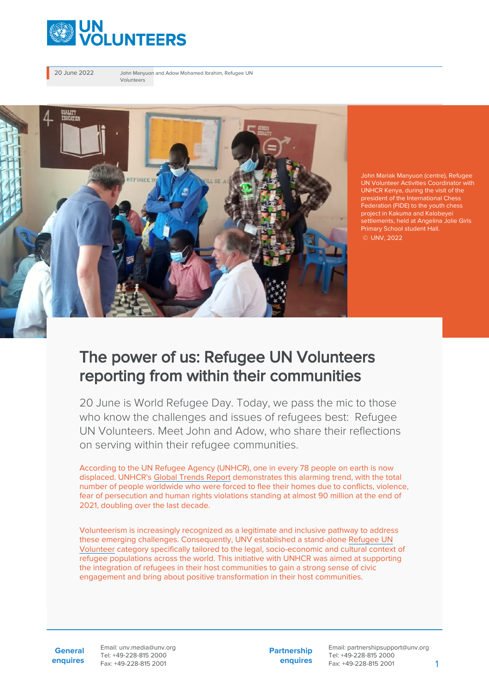

20 June 2022 John Manyuon and Adow Mohamed Ibrahim, Refugee UN Volunteers



John Mariak Manyuon (centre), Refugee UN Volunteer Activities Coordinator with UNHCR Kenya, during the visit of the president of the International Chess Federation (FIDE) to the youth chess project in Kakuma and Kalobeyei settlements, held at Angelina Jolie Girls Primary School student Hall. © UNV, 2022

## The power of us: Refugee UN Volunteers reporting from within their communities

20 June is World Refugee Day. Today, we pass the mic to those who know the challenges and issues of refugees best: Refugee UN Volunteers. Meet John and Adow, who share their reflections on serving within their refugee communities.

According to the UN Refugee Agency (UNHCR), one in every 78 people on earth is now displaced. UNHCR's [Global Trends Report](https://www.unhcr.org/62a9d1494/global-trends-report-2021) demonstrates this alarming trend, with the total number of people worldwide who were forced to flee their homes due to conflicts, violence, fear of persecution and human rights violations standing at almost 90 million at the end of 2021, doubling over the last decade.

Volunteerism is increasingly recognized as a legitimate and inclusive pathway to address these emerging challenges. Consequently, UNV established a stand-alone [Refugee UN](https://toolkit.unv.org/sites/default/files/2020-10/Conditions%20of%20Service%20for%20Refugee%20UN%20Volunteer.pdf) [Volunteer](https://toolkit.unv.org/sites/default/files/2020-10/Conditions%20of%20Service%20for%20Refugee%20UN%20Volunteer.pdf) category specifically tailored to the legal, socio-economic and cultural context of refugee populations across the world. This initiative with UNHCR was aimed at supporting the integration of refugees in their host communities to gain a strong sense of civic engagement and bring about positive transformation in their host communities.

**General enquires** Email: unv.media@unv.org Tel: +49-228-815 2000 Fax: +49-228-815 2001

**Partnership enquires**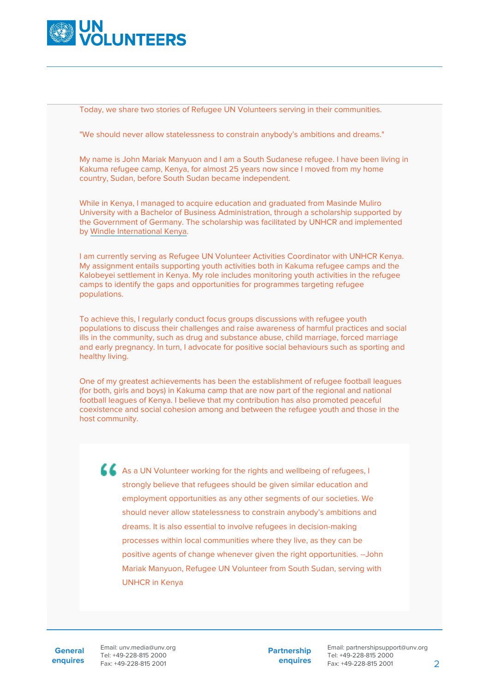

Today, we share two stories of Refugee UN Volunteers serving in their communities.

"We should never allow statelessness to constrain anybody's ambitions and dreams."

My name is John Mariak Manyuon and I am a South Sudanese refugee. I have been living in Kakuma refugee camp, Kenya, for almost 25 years now since I moved from my home country, Sudan, before South Sudan became independent.

While in Kenya, I managed to acquire education and graduated from Masinde Muliro University with a Bachelor of Business Administration, through a scholarship supported by the Government of Germany. The scholarship was facilitated by UNHCR and implemented by [Windle International Kenya](https://windle.org/).

I am currently serving as Refugee UN Volunteer Activities Coordinator with UNHCR Kenya. My assignment entails supporting youth activities both in Kakuma refugee camps and the Kalobeyei settlement in Kenya. My role includes monitoring youth activities in the refugee camps to identify the gaps and opportunities for programmes targeting refugee populations.

To achieve this, I regularly conduct focus groups discussions with refugee youth populations to discuss their challenges and raise awareness of harmful practices and social ills in the community, such as drug and substance abuse, child marriage, forced marriage and early pregnancy. In turn, I advocate for positive social behaviours such as sporting and healthy living.

One of my greatest achievements has been the establishment of refugee football leagues (for both, girls and boys) in Kakuma camp that are now part of the regional and national football leagues of Kenya. I believe that my contribution has also promoted peaceful coexistence and social cohesion among and between the refugee youth and those in the host community.

As a UN Volunteer working for the rights and wellbeing of refugees, I strongly believe that refugees should be given similar education and employment opportunities as any other segments of our societies. We should never allow statelessness to constrain anybody's ambitions and dreams. It is also essential to involve refugees in decision-making processes within local communities where they live, as they can be positive agents of change whenever given the right opportunities. --John Mariak Manyuon, Refugee UN Volunteer from South Sudan, serving with UNHCR in Kenya

**General enquires** Email: unv.media@unv.org Tel: +49-228-815 2000 Fax: +49-228-815 2001

**Partnership enquires**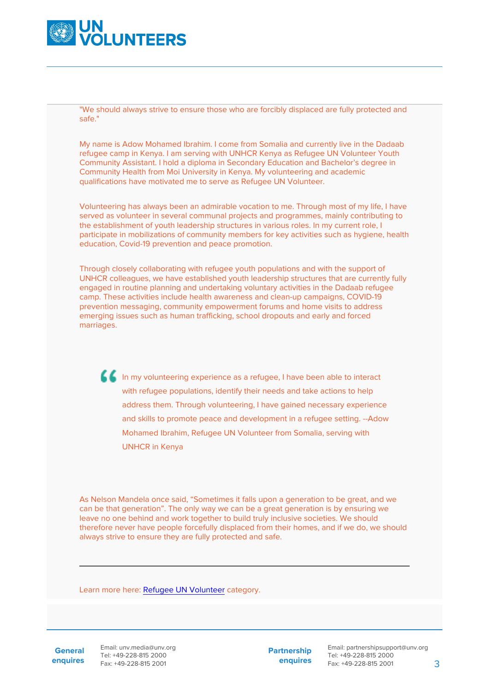

"We should always strive to ensure those who are forcibly displaced are fully protected and safe."

My name is Adow Mohamed Ibrahim. I come from Somalia and currently live in the Dadaab refugee camp in Kenya. I am serving with UNHCR Kenya as Refugee UN Volunteer Youth Community Assistant. I hold a diploma in Secondary Education and Bachelor's degree in Community Health from Moi University in Kenya. My volunteering and academic qualifications have motivated me to serve as Refugee UN Volunteer.

Volunteering has always been an admirable vocation to me. Through most of my life, I have served as volunteer in several communal projects and programmes, mainly contributing to the establishment of youth leadership structures in various roles. In my current role, I participate in mobilizations of community members for key activities such as hygiene, health education, Covid-19 prevention and peace promotion.

Through closely collaborating with refugee youth populations and with the support of UNHCR colleagues, we have established youth leadership structures that are currently fully engaged in routine planning and undertaking voluntary activities in the Dadaab refugee camp. These activities include health awareness and clean-up campaigns, COVID-19 prevention messaging, community empowerment forums and home visits to address emerging issues such as human trafficking, school dropouts and early and forced marriages.

In my volunteering experience as a refugee, I have been able to interact with refugee populations, identify their needs and take actions to help address them. Through volunteering, I have gained necessary experience and skills to promote peace and development in a refugee setting. --Adow Mohamed Ibrahim, Refugee UN Volunteer from Somalia, serving with UNHCR in Kenya

As Nelson Mandela once said, "Sometimes it falls upon a generation to be great, and we can be that generation". The only way we can be a great generation is by ensuring we leave no one behind and work together to build truly inclusive societies. We should therefore never have people forcefully displaced from their homes, and if we do, we should always strive to ensure they are fully protected and safe.

Learn more here: [Refugee UN Volunteer](https://toolkit.unv.org/sites/default/files/2020-10/Conditions%20of%20Service%20for%20Refugee%20UN%20Volunteer.pdf) category.

**General enquires** Email: unv.media@unv.org Tel: +49-228-815 2000 Fax: +49-228-815 2001

**Partnership enquires**